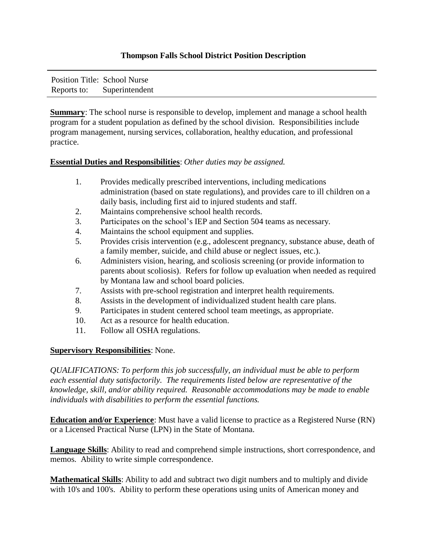## **Thompson Falls School District Position Description**

Position Title: School Nurse Reports to: Superintendent

**Summary**: The school nurse is responsible to develop, implement and manage a school health program for a student population as defined by the school division. Responsibilities include program management, nursing services, collaboration, healthy education, and professional practice.

## **Essential Duties and Responsibilities**: *Other duties may be assigned.*

| Provides medically prescribed interventions, including medications                  |
|-------------------------------------------------------------------------------------|
| administration (based on state regulations), and provides care to ill children on a |
| daily basis, including first aid to injured students and staff.                     |

- 2. Maintains comprehensive school health records.
- 3. Participates on the school's IEP and Section 504 teams as necessary.
- 4. Maintains the school equipment and supplies.
- 5. Provides crisis intervention (e.g., adolescent pregnancy, substance abuse, death of a family member, suicide, and child abuse or neglect issues, etc.).
- 6. Administers vision, hearing, and scoliosis screening (or provide information to parents about scoliosis). Refers for follow up evaluation when needed as required by Montana law and school board policies.
- 7. Assists with pre-school registration and interpret health requirements.
- 8. Assists in the development of individualized student health care plans.
- 9. Participates in student centered school team meetings, as appropriate.
- 10. Act as a resource for health education.
- 11. Follow all OSHA regulations.

## **Supervisory Responsibilities**: None.

*QUALIFICATIONS: To perform this job successfully, an individual must be able to perform each essential duty satisfactorily. The requirements listed below are representative of the knowledge, skill, and/or ability required. Reasonable accommodations may be made to enable individuals with disabilities to perform the essential functions.* 

**Education and/or Experience**: Must have a valid license to practice as a Registered Nurse (RN) or a Licensed Practical Nurse (LPN) in the State of Montana.

**Language Skills**: Ability to read and comprehend simple instructions, short correspondence, and memos. Ability to write simple correspondence.

**Mathematical Skills**: Ability to add and subtract two digit numbers and to multiply and divide with 10's and 100's. Ability to perform these operations using units of American money and